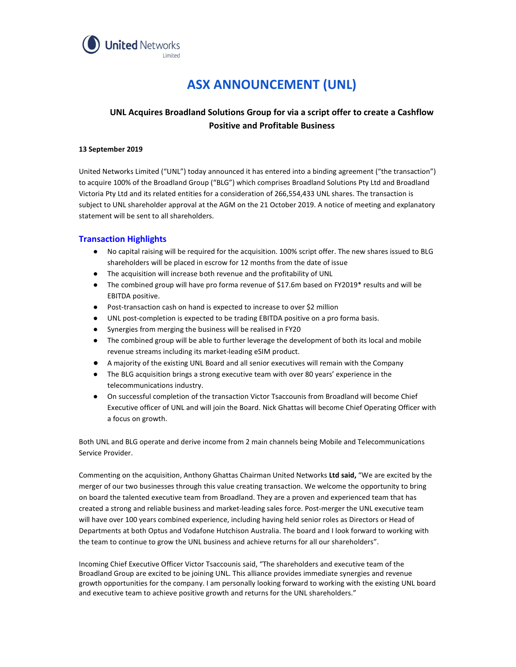

# ASX ANNOUNCEMENT (UNL)

## UNL Acquires Broadland Solutions Group for via a script offer to create a Cashflow Positive and Profitable Business

#### 13 September 2019

United Networks Limited ("UNL") today announced it has entered into a binding agreement ("the transaction") to acquire 100% of the Broadland Group ("BLG") which comprises Broadland Solutions Pty Ltd and Broadland Victoria Pty Ltd and its related entities for a consideration of 266,554,433 UNL shares. The transaction is subject to UNL shareholder approval at the AGM on the 21 October 2019. A notice of meeting and explanatory statement will be sent to all shareholders.

#### Transaction Highlights

- No capital raising will be required for the acquisition. 100% script offer. The new shares issued to BLG
- 
- shareholders will be placed in escrow for 12 months from the date of issue<br>• The acquisition will increase both revenue and the profitability of UNL<br>• The combined group will have pro forma revenue of \$17.6m based on FY20
- 
- EBITDA positive.<br>
Post-transaction cash on hand is expected to increase to over \$2 million<br>
UNL post-completion is expected to be trading EBITDA positive on a pro forma basis.<br>
Synergies from merging the business wi
- 
- revenue streams including its market-leading eSIM product.
- A majority of the existing UNL Board and all senior executives will remain with the Company
- The BLG acquisition brings a strong executive team with over 80 years' experience in the
- telecommunications industry.<br>On successful completion of the transaction Victor Tsaccounis from Broadland will become Chief Executive officer of UNL and will join the Board. Nick Ghattas will become Chief Operating Officer with a focus on growth.

Both UNL and BLG operate and derive income from 2 main channels being Mobile and Telecommunications Service Provider.

Commenting on the acquisition, Anthony Ghattas Chairman United Networks Ltd said, "We are excited by the merger of our two businesses through this value creating transaction. We welcome the opportunity to bring on board the talented executive team from Broadland. They are a proven and experienced team that has created a strong and reliable business and market-leading sales force. Post-merger the UNL executive team will have over 100 years combined experience, including having held senior roles as Directors or Head of Departments at both Optus and Vodafone Hutchison Australia. The board and I look forward to working with the team to continue to grow the UNL business and achieve returns for all our shareholders".

Incoming Chief Executive Officer Victor Tsaccounis said, "The shareholders and executive team of the Broadland Group are excited to be joining UNL. This alliance provides immediate synergies and revenue growth opportunities for the company. I am personally looking forward to working with the existing UNL board and executive team to achieve positive growth and returns for the UNL shareholders."